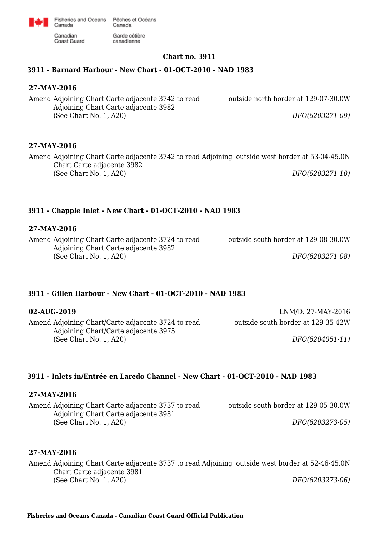

Fisheries and Oceans Pêches et Océans Canada Garde côtière

canadienne

Canadian Coast Guard

Canada

# **Chart no. 3911**

# **3911 - Barnard Harbour - New Chart - 01-OCT-2010 - NAD 1983**

### **27-MAY-2016**

Amend Adjoining Chart Carte adjacente 3742 to read Adjoining Chart Carte adjacente 3982 (See Chart No. 1, A20)

outside north border at 129-07-30.0W

*DFO(6203271-09)*

# **27-MAY-2016**

Amend Adjoining Chart Carte adjacente 3742 to read Adjoining outside west border at 53-04-45.0N Chart Carte adjacente 3982 (See Chart No. 1, A20) *DFO(6203271-10)*

# **3911 - Chapple Inlet - New Chart - 01-OCT-2010 - NAD 1983**

### **27-MAY-2016**

Amend Adjoining Chart Carte adjacente 3724 to read Adjoining Chart Carte adjacente 3982 (See Chart No. 1, A20)

### **3911 - Gillen Harbour - New Chart - 01-OCT-2010 - NAD 1983**

Amend Adjoining Chart/Carte adjacente 3724 to read Adjoining Chart/Carte adjacente 3975 (See Chart No. 1, A20)

**02-AUG-2019** LNM/D. 27-MAY-2016 outside south border at 129-35-42W

outside south border at 129-08-30.0W

*DFO(6204051-11)*

*DFO(6203271-08)*

# **3911 - Inlets in/Entrée en Laredo Channel - New Chart - 01-OCT-2010 - NAD 1983**

### **27-MAY-2016**

Amend Adjoining Chart Carte adjacente 3737 to read Adjoining Chart Carte adjacente 3981 (See Chart No. 1, A20)

outside south border at 129-05-30.0W

*DFO(6203273-05)*

### **27-MAY-2016**

Amend Adjoining Chart Carte adjacente 3737 to read Adjoining outside west border at 52-46-45.0N Chart Carte adjacente 3981 (See Chart No. 1, A20) *DFO(6203273-06)*